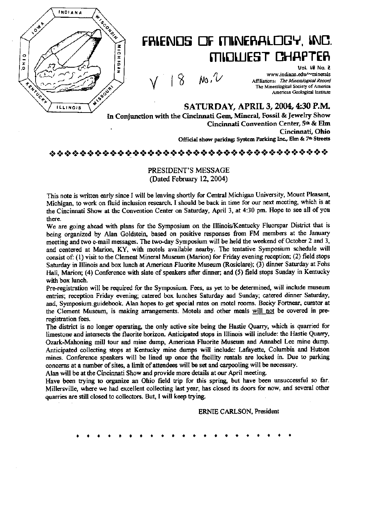

# FRIENDS OF MINERALOGY, INC. MIQUEST CHAPTER

 $V = 10$  in

Uol. 18 No. a www.indiana.edu/~minerals Affiliations: The Mincralogical Record The Mincralogical Society of America American Geological Institute

SATURDAY, APRIL 3, 2004, 4:30 P.M. In Conjunction with the Cincirmati Gem, Mineral, Fossil & Jewelry Show Cincinnati Convention Center, 5<sup>th</sup> & Elm<br>Cincinnati, Ohio Official show parking: System Parking Inc., Elm & 7th Streets

### \*:»«;»+:»\*:»+:»+:»«:»+:»+;+«:»+:a+:»+:»+S»\*:»«:».:++:»\*:»`;»+>«:-;»+:++>\*:».:-:»\*;»':»`:-:-:-:a+:»`:»\*:»

### PRESIDENT'S MESSAGE (Dated February 12, 2004)

This note is written early since I will be leaving shortly for Central Michigan University, Mount Pleasant, Michigan, to work on fluid inclusion research. I should be back in time for our next meeting, which is at the Cincinnati Show at the Convention Center on Saturday, April 3, at 4:30 pm. Hope to see all of you there.

We are going ahead with plans for the Symposium on the Illinois/Kentucky Fluorspar District that is being organized by Alan Goldstein, based on positive responses from FM members at the January meeting and two e-mail messages. The two-day Symposium will be held the weekend of October 2 and 3, and centered at Marion, KY, with motels available nearby. The tentative Symposium schedule will consist of: (1) visit to the Clement Mineral Museum (Marion) for Friday evening reception; {2) field stops Saturday in Illinois and box lunch at American Fluorite Museum (Rosiclare); (3) dinner Saturday at Fohs Hall, Marion; (4) Conference with slate of speakers after dinner; and (5) field stops Sunday in Kentucky with box lunch.

Pre-registration will be required for the Symposium. Fees, as yet to be determined, will include museum entries; reception Friday evening; catered box lunches Saturday and Sunday; catered dinner Saturday, and, Symposium.guidebook. Alan hopes to get apecial rates on motel rooms. Becky Fortnear, curator at the Clement Museum, is making arrangements. Motels and other meals will not be covered in preregistration fees.

The district is no longer operating the only active site being the Hastie Quarry, which is quarried for limestone and intersects the fluorite horizon. Anticipated stops in Illinois will include: the Hastie Quarry, Ozark-Mahoning mill tour and mine dump, American Fluorite Museum and Annabel Lee mine dump. Anticipated collecting stops at Kentucky mine dumps will include: Lafayette, Columbia and Hutson mines. Conference speakers will be lined up once the facility rentals are locked in. Due to parking concerns at a number of sites, a limit of attendees will be set and carpooling will be necessary.

Alan will be at the Cincinnati Show and provide more details at our April meeting. Have been trying to organize an Ohio field trip for this spring, but have been unsuccessful so far. Millersville, where we had excellent collecting last year, has closed its doors for now, and several other

quarries are still closed to collectors. But, I will keep trying.

ERNIE CARLSON, President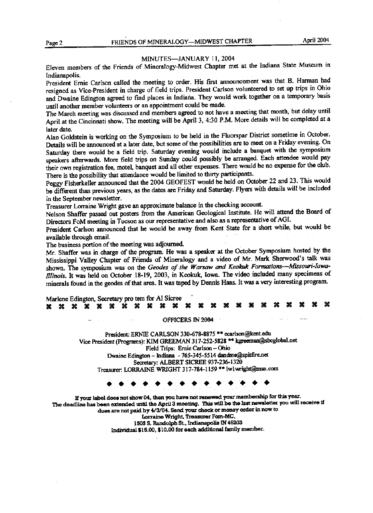### MINUTES-JANUARY 11, 2004

Eleven members of the Friends of Mineralogy-Midwest Chapter met at the Indiana State Museum in Indianapolis.

President Emie Carlson called the meeting to order. His first armouncement was that 8. Harman had resigned as Vice-President in charge of field trips. President Carlson volunteered to sct up trips in Ohio and Dwaine Edington agreed to find places in Indiana. They would work together on a temporary basis until another member volunteers or an appointment could be made.

The March meeting was discussed and members agreed to not have a meeting that month, but delay until April at the Cincinnati show. The meeting will be April 3, 4:30 P.M. More details will be completed at a later date.

Alan Goldstein is working on the Symposium to be held in the Fluorspar District somctime in October. Details will be announced at a later date, but some of the possibilities are to meet on a Friday evening. On Saturday there would be a field trip. Saturday evening would include a banquet with the symposium speakers afterwards. More field trips on Sunday could possibly be arranged. Each attendee would pay their own registration fee, motel, banquet and all other expenses. There would be no expense for the club. There is the possibility that attendance would be limited to thirty paticipants.

Peggy Fisherkeller armounced that the 2004 GEOFEST would be held on October 22 and 23. This would be different than previous years, as the dates are Friday and Saturday. Flyers with details will be included in the September newsletter.

Treasurer Lorraine Wright gave an approximate balance in the cheeking account.

Nelson Shaffer passed out posters from the American Geological Institute. He will attend the Board of Directors FoM meeting in Tucson as our representative and also as a representative of AGI.

President Carlson announced that he would be away from Kent State for a short while, but would be available through email. `

The business portion of the meeting was adjourned.

Mr. Shaffer was in charge of the program. He was a speaker at the October Symposium hosted by the Mississippi Valley Chapter of Friends of Mineralogy and a video of Mr. Mark Sherwood's talk was shown. The symposium was on the Geodes of the Warsaw and Keokuk Formations-Missouri-Iowa-Illinois. It was held on October 18-19, 2003, in Keokuk, Iowa. The video included many specimens of minerals found in the geodes of that area. It was taped by Dermis Haas. It was a very interesting program.

| Marlene Edington, Secretary pro tem for Al Sicree |  |  |  |  |  |  |  |  |  |  |  |  |  |  |  |  |  |  |  |  |  |  |
|---------------------------------------------------|--|--|--|--|--|--|--|--|--|--|--|--|--|--|--|--|--|--|--|--|--|--|
|                                                   |  |  |  |  |  |  |  |  |  |  |  |  |  |  |  |  |  |  |  |  |  |  |

OFFICERS IN 2004

President: ERNIE CARLSON 330-678-8875 \*\* ecarlson@kent.edu Vice President (Programs): KIM GREEMAN 317-252-5828 \*\* kgreeman@sbcglobal.net Field Trips: Emie Carlson - Ohio Dwaine Edington - Indiana - 765-345-5514 dandme@spitfire.net Secretary: ALBERT SICREE 937-236-1320 Treasurer: LORRAINE WRIGHT 317-784-1159 \*\* lwlwright@msn.com Field Trips: Ernie Carlson – Ohio<br>
ine Edington – Indiana - 765-345-5514 dandme@spitfire.net<br>
Secretary: ALBERT SICREE 937-236-1320<br>
r: LORRAINE WRIGHT 317-784-1159 \*\* lw1wright@msn.com<br>  $\leftrightarrow \leftrightarrow \leftrightarrow \leftrightarrow \leftrightarrow \leftrightarrow \leftrightarrow \leftrightarrow \leftrightarrow \leftrightarrow$ 

If your label does not show 04, then you have not renewed your membership for this year. The deadline has been extended until the April 3 meeting. This will be the last newsletter you will receive if dues are not paid by 4/3/04. Send your check or money order in now to Lorraine Wright, Treasurer Fom-MC, 1505 S. Randolph St., Indianapolis IN 46203 Individual \$15.00, \$10.00 for each additional family member.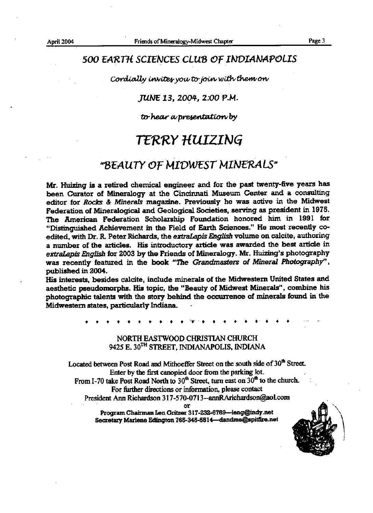### 500 EARTH SCIENCES CLUB OF INDIANAPOLIS

Cordially invites you to join with them on

### JUNE 13, 2004, 2:00 P.M.

to hear a presentation by

## TERRY HUIZING

### "BEAUTY OF MIDWEST MINERALS"

Mr. Huizing is a retired chemical engineer and for the past twenty-five years has been Curator of Mineralogy at the Cincinnati Museum Center and a consulting editor for Rocks & Minerals magazine. Previously he was active in the Midwest Federation of Mineralogical and Geological Societies, serving as president in 1975. The American Federation Scholarship Foundation honored him in 1991 for "Distinguished Achievement in the Field of Earth Sciences." He most recently coedited, with Dr. R. Peter Richards, the extraLapis English volume on calcite, authoring a number of the articles. His introductory article was awarded the best article in extraLapis English for 2003 by the Friends of Mineralogy. Mr. Huizing's photography was recently featured in the book "The Grandmasters of Mineral Photography", published in 2004.

His interests, besides calcite, include minerals of the Midwestern United States and aesthetic pseudomorphs. His topic, the "Beauty of Midwest Minerals", combine his photographic talents with the story behind the occurrence of minerals found in the Midwestern states, particularly Indiana.

### NORTH EASTWOOD CHRISTIAN CHURCH 9425 E. 30<sup>TH</sup> STREET, INDIANAPOLIS, INDIANA

Located between Post Road and Mithoeffer Street on the south side of 30<sup>th</sup> Street. Enter by the first canopied door from the parking lot. From I-70 take Post Road North to  $30<sup>th</sup>$  Street, turn east on  $30<sup>th</sup>$  to the church. For further directions or information, please contact President Ann Richardson 317-570-0713--annRArichardson@aol.com or

> Program Chairman Len Gritzer 317-232-6769-leng@indy.net Secretary Mariene Edington 765-345-5514-dandme@spitfire.net

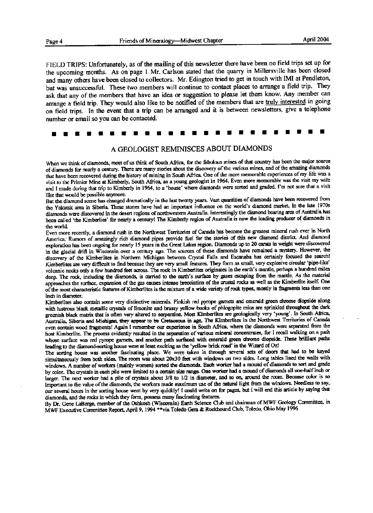FIELD TRIPS: Unfortunately, as of the mailing of this newsletter there have been no field trips set up for the upcoming months. As on page 1 Mr. Carlson stated that the quarry in Millersville has been closed and many others have been closed to collectors. Mr. Edington tried to get in touch with IMI at Pendleton, but was unsuccessful. These two members will continue to contact places to arrange a field trip. They ask that any of the members that have an idea or suggestion to please let them know. Any member can arrange a field trip. They would also like to be notified of the members that are truly interested in going on field trips. In the event that a trip can be arranged and it is between newsletters, give a telephone number or email so you can be contacted.

| umber or email so you can be contacted. |  |  |  |  |  |  |  |  |  |  |  |  |  |  |  |  |  |  |  |  |  |  |
|-----------------------------------------|--|--|--|--|--|--|--|--|--|--|--|--|--|--|--|--|--|--|--|--|--|--|
|                                         |  |  |  |  |  |  |  |  |  |  |  |  |  |  |  |  |  |  |  |  |  |  |

#### A GEOLOGIST REMINISCES ABOUT DIAMONDS

When we think of diamonds, most of us think of South Africa, for the fabulous mines of that country has been the major source of diamonds for nearly a century. There are many stories about the discovery of the various mines, and of the amazing diamonds that have been recovered during the history of mining in South Africa. One of the more memorable experiences of my life was a visit to the Primier Mine at Kimberly, South Africa, as a young geologist in 1964. Even more memorable was the visit my wife and I made during that trip to Kimberly in 1964, to a 'house' where diamonds were sorted and graded. I'm not sure that a visit like that would be possible anymore.

But the diamond scene has changed dramatically in the last twenty years. Vast quantities of diamonds have been recovered from the Yakutsk area in Siberia. These stones have had an important influence on the world's diamond market. In the late 1970s diamonds were discovered in the desert regions of northwestern Australia. Interestingly the diamond bearing area of Australia has been called 'the Kimberlies' for nearly a century! The Kimberly region of Australia is now the leading producer of diamonds in the world

Even more recently, a diamond rush in the Northwest Territories of Canada has become the greatest mineral rush ever in North America. Rumors of amazingly rich diamond pipes provide fuel for the stories of this new diamond district. And diamond exploration has been ongoing for nearly 15 years in the Great Lakes region. Diamonds up to 20 carats in weight were discovered in the glacial drift in Wisconsin over a century ago. The sources of these diamonds have remained a mystery. However, the discovery of the Kimberlites in Northern Michigan between Crystal Falls and Escanaba has certainly focused the search! Kimberlites are very difficult to find because they are very small features. They form as small, very explosive circular 'pipe-like' volcanic necks only a few hundred feet across. The rock in Kimberlites originates in the earth's mantle, perhaps a hundred miles deep. The rock, including the diamonds, is carried to the earth's surface by gases escaping from the mantle. As the material approaches the surface, expansion of the gas causes intense brecciation of the crustal rocks as well as the Kimberlite itself. One of the most characteristic features of Kimberlites is the mixture of a wide variety of rock types, mostly in fragments less than one inch in diameter.

Kimberlites also contain some very distinctive minerals. Pinkish red pyrope garnets and emerald green chrome diopside along with lustrous black metallic crystals of limonite and brassy yellow books of phlogopite mica are sprinkled throughout the dark greenish black matrix that is often very altered to serpentine. Most Kimberlites are geologically very 'young'. In South Africa, Australia, Siberia and Michigan, they appear to be Cretaceous in age. The Kimberlites in the Northwest Territories of Canada even contain wood fragments! Again I remember our experience in South Africa, where the diamonds were separated from the host Kimberlite. The process evidently resulted in the separation of various mineral concentrates, for I recall walking on a path whose surface was red pyrope garnets, and another path surfaced with emerald green chrome diopside. These brilliant paths leading to the diamond-sorting house were at least exciting as the 'yellow brick road' in the Wizard of Oz!

The sorting house was another fascinating place. We were taken in through several sets of doors that had to be keyed simultaneously from both sides. The room was about 20x30 feet with windows on two sides. Long tables lined the walls with windows. A number of workers (mainly women) sorted the diamonds. Each worker had a mound of diamonds to sort and grade by color. The crystals in each pile were limited to a certain size range. One worker had a mound of diamonds all one-half inch or larger. The next worker had a pile of crystals about  $3/8$  to  $1/2$  in diameter, and so on, around the room. Because color is so important to the value of the diamonds, the workers made maximum use of the natural light from the windows. Needless to say, our several hours in the sorting house went by very quickly! I could write on for pages, but I will end this article by saying that diamonds, and the rocks in which they fom, possess many fascinating features.

By Dr. Gene LaBerge, member of the Oshkosh (Wisconsin) Earth Science Club and chairman of MWF Geology Committee, in MWF Executive Committee Report, April 9, 1994 \*\*via Toledo Gem & Rockhound Club, Toledo, Ohio May 1996